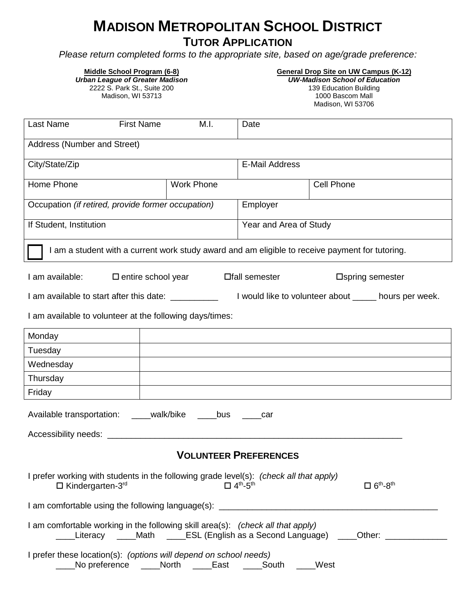# **MADISON METROPOLITAN SCHOOL DISTRICT**

**TUTOR APPLICATION**

*Please return completed forms to the appropriate site, based on age/grade preference:*

| Middle School Program (6-8)<br><b>Urban League of Greater Madison</b><br>2222 S. Park St., Suite 200<br>Madison, WI 53713                                                                                                                            |                           | <b>General Drop Site on UW Campus (K-12)</b><br><b>UW-Madison School of Education</b><br>139 Education Building<br>1000 Bascom Mall<br>Madison, WI 53706 |  |  |  |  |
|------------------------------------------------------------------------------------------------------------------------------------------------------------------------------------------------------------------------------------------------------|---------------------------|----------------------------------------------------------------------------------------------------------------------------------------------------------|--|--|--|--|
| Last Name                                                                                                                                                                                                                                            | <b>First Name</b><br>M.I. | Date                                                                                                                                                     |  |  |  |  |
| Address (Number and Street)                                                                                                                                                                                                                          |                           |                                                                                                                                                          |  |  |  |  |
| City/State/Zip                                                                                                                                                                                                                                       |                           | <b>E-Mail Address</b>                                                                                                                                    |  |  |  |  |
| Home Phone                                                                                                                                                                                                                                           | <b>Work Phone</b>         | <b>Cell Phone</b>                                                                                                                                        |  |  |  |  |
| Occupation (if retired, provide former occupation)                                                                                                                                                                                                   |                           | Employer                                                                                                                                                 |  |  |  |  |
| If Student, Institution                                                                                                                                                                                                                              |                           | Year and Area of Study                                                                                                                                   |  |  |  |  |
| I am a student with a current work study award and am eligible to receive payment for tutoring.                                                                                                                                                      |                           |                                                                                                                                                          |  |  |  |  |
| I am available:<br>$\square$ entire school year<br>□ semester<br>□ Spring semester<br>I am available to start after this date:<br>I would like to volunteer about ______ hours per week.<br>I am available to volunteer at the following days/times: |                           |                                                                                                                                                          |  |  |  |  |
| Monday                                                                                                                                                                                                                                               |                           |                                                                                                                                                          |  |  |  |  |
| Tuesday                                                                                                                                                                                                                                              |                           |                                                                                                                                                          |  |  |  |  |
| Wednesday                                                                                                                                                                                                                                            |                           |                                                                                                                                                          |  |  |  |  |
| Thursday                                                                                                                                                                                                                                             |                           |                                                                                                                                                          |  |  |  |  |
| Friday                                                                                                                                                                                                                                               |                           |                                                                                                                                                          |  |  |  |  |
| Available transportation: ____walk/bike<br>bus<br>car                                                                                                                                                                                                |                           |                                                                                                                                                          |  |  |  |  |
|                                                                                                                                                                                                                                                      |                           |                                                                                                                                                          |  |  |  |  |
| <b>VOLUNTEER PREFERENCES</b>                                                                                                                                                                                                                         |                           |                                                                                                                                                          |  |  |  |  |
| I prefer working with students in the following grade level(s): (check all that apply)<br>$\square$ 6 <sup>th</sup> -8 <sup>th</sup><br>$\Box$ Kindergarten-3rd<br>$\Box$ 4 <sup>th</sup> -5 <sup>th</sup>                                           |                           |                                                                                                                                                          |  |  |  |  |
| I am comfortable using the following language(s): ______________________________                                                                                                                                                                     |                           |                                                                                                                                                          |  |  |  |  |
| I am comfortable working in the following skill area(s): (check all that apply)<br>_Literacy  ____Math  ____ESL (English as a Second Language)  ____Other: _____________                                                                             |                           |                                                                                                                                                          |  |  |  |  |
| I prefer these location(s): (options will depend on school needs)<br>No preference _____North ____<br>East<br>_____South<br>West                                                                                                                     |                           |                                                                                                                                                          |  |  |  |  |